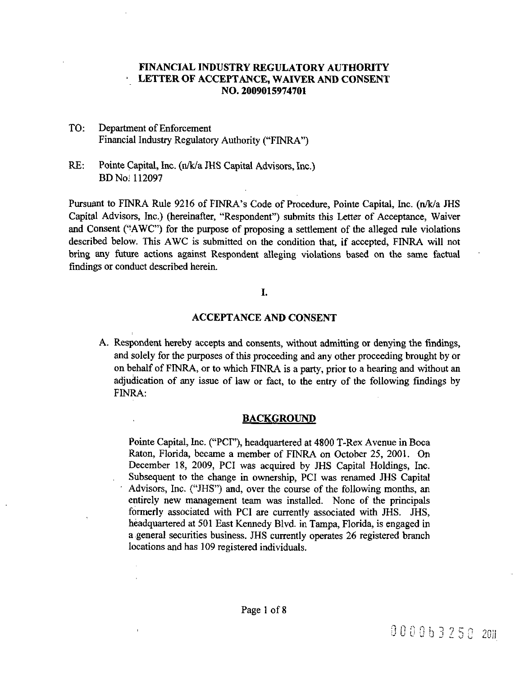# FINANCIAL INDUSTRY REGULATORY AUTHORITY ' LETTEROF ACCEPTANCE, WAIVER AND CONSENT NO. 2009015974701

- TO: Department of Enforcement Financial Industry Regulatory Authority ("FINRA")
- RE: Pointe Capital, Inc. (n/k/a JHS Capital Advisors, Inc.) BD Noj 112097

Pursuant to FINRA Rule 9216 of FINRA's Code of Procedure, Pointe Capital, Inc. (n/k/a JHS Capital Advisors, Inc.) (hereinafter, "Respondent") submits this Letter of Acceptance, Waiver and Consent ("AWC") for the purpose of proposing a settlement of the alleged rule violations described below. This AWC is submitted on the condition that, if accepted, FINRA will not bring any future actions against Respondent alleging violations based on the same factual findings or conduct described herein.

# L

# ACCEPTANCE AND CONSENT

A. Respondent hereby accepts and consents, without admitting or denying the findings, and solely for the purposes of this proceeding and any other proceeding brought by or on behalf of FINRA, or to which FINRA is a party, prior to a hearing and without an adjudication of any issue of law or fact, to the entry of the following findings by FINRA:

# **BACKGROUND**

Pointe Capital, Inc. ("PCI"), headquartered at 4800 T-Rex Avenue in Boca Raton, Florida, became <sup>a</sup> member of FINRA on October 25, 2001. On December 18, 2009, PCI was acquired by JHS Capital Holdings, Inc. Subsequent to the change in ownership, PCi was renamed JHS Capital Advisors, Inc. ("JHS") and, over the course of the following months, an entirely new management team was installed. None of the principals formerly associated with PCI are currently associated with JHS. JHS, héadquartered at 501 East Kennedy Blvd. in Tampa, Florida, is engaged in a general securities business. JHS currently operates 26 registered branch locations and has 109 registered individuals.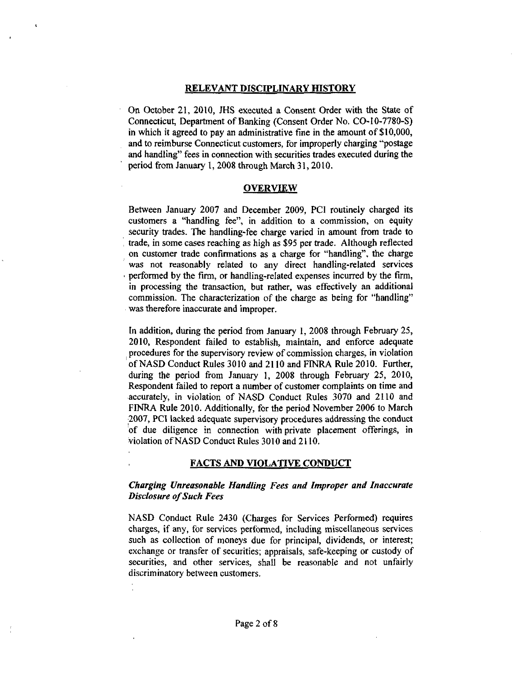#### RELEVANT DISCIPLINARY HISTORY

On October 21, 2010, JHS executed a Consent Order with the State of Connecticut, Department of Banking (Consent Order No. CO-IO-7780-S) in which it agreed to pay an administrative fine in the amount of \$10,000, and to reimburse Connecticut customers, for improperly charging "postage and handling" fees in connection with securities trades executed during the period from January 1, 2008 through March 31,2010.

### OVERVIEW

Between January 2007 and December 2009, PCI routinely charged its customers a "handling fee", in addition to a commission, on equity security trades. The handling-fee charge varied in amount from trade to trade, in some cases reaching as high as \$95 per trade. Although reflected on customer trade confirmations as a charge for "handling", the charge was not reasonably related to any direct handling-related services , performed by the firm, or handling-related expenses incurred by the firm, in processing the transaction, but rather, was effectively an additional commission. The characterization of the charge as being for "handling" was therefore inaccurate and improper.

In addition, during the period from January 1, 2008 through February 25, 2010, Respondent failed to establish, maintain, and enforce adequate procedures for the supervisory review of commission charges, in violation of NASD Conduct Rules 3010 and 2110 and FrNRA Rule 2010. Further, during the period from January 1, 2008 through February 25, 2010, Respondent failed to report <sup>a</sup> number of customer complaints on time and accurately, in violation of NASD Conduct Rules 3070 and 2110 and FINRA Rule 2010. Additionally, for the period November 2006 to March 2007, PCi lacked adequate supervisory procedures addressing the conduct of due diligence in connection with private placement offerings, in violation ofNASD Conduct Rules 3010 and 2110.

### FACTS AND VIOLATIVE CONDUCT

## Charging Unreasonable Handling Fees and Improper and Inaccurate Disclosure of Such Fees

NASD Conduct Rule 2430 (Charges for Services Performed) requires charges, if any, for services performed, including miscellaneous services such as collection of moneys due for principal, dividends, or interest; exchange or transfer of securities; appraisals, safe-keeping or custody of securities, and other services, shall be reasonable and not unfairly discriminatory between customers.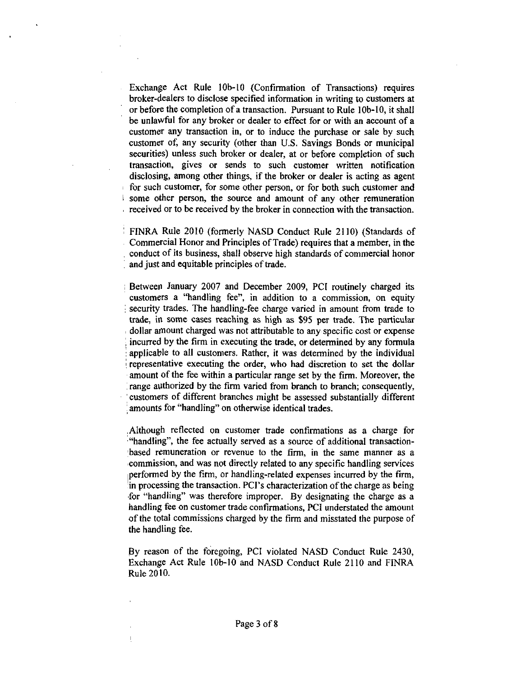Exchange Act Rule 10b-10 (Confirmation of Transactions) requires broker-dealers to disclose specified information in writing to customers at orbefore the completion of <sup>a</sup> transaction. Pursuant to Rule 10b-10, it shall be unlawful for any broker or dealer to effect for or with an account of <sup>a</sup> customer any transaction in, or to induce the purchase or sale by such customer of, any security (other than U.S. Savings Bonds or municipal securities) unless such broker or dealer, at or before completion of such transaction, gives or sends to such customer written notification disclosing, among other things, if the broker or dealer is acting as agent for such customer, for some other person, or for both such customer and some other person, the source and amount of any other remuneration received or to be received by the broker in connection with the transaction.

' FINRA Rule 2010 (formerly NASD Conduct Rule 2110) (Standards of Commercial Honor and Principles of Trade) requires that a member, in the conduct of its business, shall observe high standards of commercial honor and just and equitable principles of trade.

Between January 2007 and December 2009, PCI routinely charged its customers a "handling fee", in addition to <sup>a</sup> commission, on equity security trades. The handling-fee charge varied in amount from trade to trade, in some cases reaching as high as \$95 per trade. The particular dollar amount charged was not attributable to any specific cost or expense incurred by the firm in executing the trade, or determined by any formula applicable to all customers. Rather, it was determined by the individual representative executing the order, who had discretion to set the dollar amount of the fee within a particular range set by the firm. Moreover, the range authorized by the firm varied from branch to branch; consequently, customers of different branches might be assessed substantially different amounts for "handling" on otherwise identical trades.

Although reflected on customer trade confirmations as a charge for ''handling", the fee actually served as <sup>a</sup> source of additional transactionbased remuneration or revenue to the firm, in the same manner as a commission, and was not directly related to any specific handling services performed by the firm, or handling-related expenses incurred by the firm, in processing the transaction. PCI's characterization of the charge as being for "handling" was therefore improper. By designating the charge as a handling fee on customer trade confirmations, PCI understated the amount of the total commissions charged by the firm and misstated the purpose of the handling fee.

By reason of the foregoing, PCI violated NASD Conduct Rule 2430, Exchange Act Rule 10b-10 and NASD Conduct Rule 2110 and FINRA Rule 2010.

 $\overline{1}$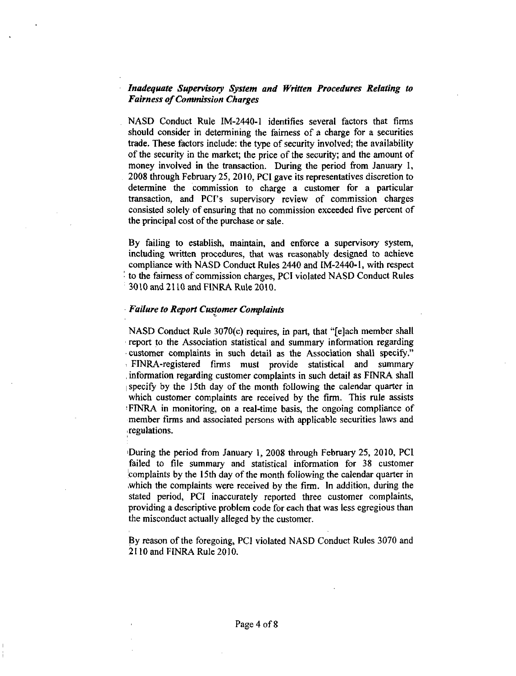## Inadequate Supervisory System and Written Procedures Relating to **Fairness of Commission Charges**

NASD Conduct Rule IM-2440-1 identifies several factors that firms should consider in determining the fairness of <sup>a</sup> charge for a securities trade. These factors include: the type of security involved; the availability of the security in the market; the price of the security; and the amount of money involved in the transaction. During the period from January I, 2008 through February 25, 2010, PCI gave its representatives discretion to determine the commission to charge a customer for <sup>a</sup> particular transaction, and PCr's supervisory review of commission charges consisted solely of ensuring that no commission exceeded five percent of the principal cost of the purchase or sale.

By failing to establish, maintain, and enforce a supervisory system, including written procedures, that was reasonably designed to achieve compliance with NASD Conduct Rules 2440 and IM-2440-1, with respect to the fairness of commission charges, PCI violated NASD Conduct Rules 3010 and 21 10 and FINRA Rule 2010.

#### **Failure to Report Customer Complaints**

NASD Conduct Rule  $3070(c)$  requires, in part, that "[e]ach member shall report to the Association statistical and summary information regarding customer complaints in such detail as the Association shall specify." , FINRA-registered firms must provide statistical and summary ? information regarding customer complaints in such detail as FINRA shall specify by the 15th day of the month following the calendar quarter in which customer complaints are received by the firm. This rule assists 'FINRA in monitoring, on a real-time basis, the ongoing compliance of member firms and associated persons with applicable securities laws and regulations.

IDuring the period from January 1, 2008 through February 25, 2010, PCI failed to file summary and statistical information for 38 customer complaints by the l 5th day of the month following the calendar quarter in which the complaints were received by the firm. In addition, during the stated period, PCI inaccurately reported three customer complaints, providing a descriptive problem code for each that was less egregious than the misconduct actually alleged by the customer.

By reason of the foregoing, PCI violated NASD Conduct Rules 3070 and 21 10 and FINRA Rule 2010.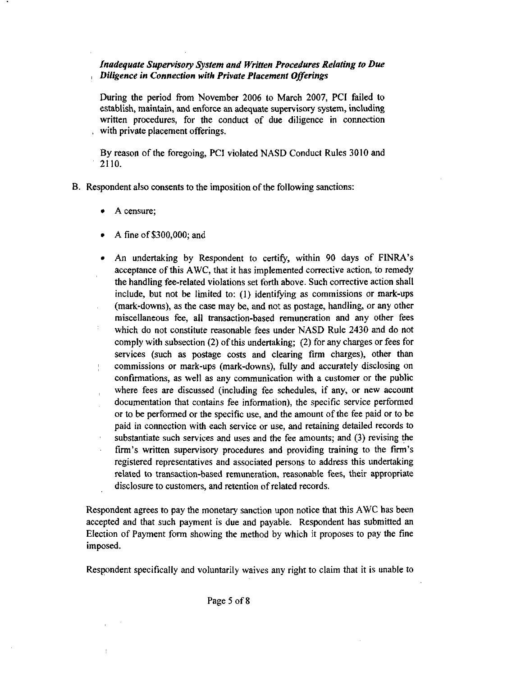# Inadequate Supervisory System and Written Procedures Relating to Due  $\Box$  Diligence in Connection with Private Placement Offerings

During the period from November 2006 to March 2007, PCI failed to establish, maintain, and enforce an adequate supervisory system, including written procedures, for the conduct of due diligence in connection with private placement offerings.

By reason of the foregoing, PCI violated NASD Conduct Rules 3010 and 2110.

B. Respondent also consents to the imposition of the following sanctions:

- A censure;
- A fine of \$300,000; and
- ? An undertaking by Respondent to certify, within 90 days of FINRA's acceptance of this AWC, that it has implemented corrective action, to remedy the handling fee-related violations set forth above. Such corrective action shall include, but not be limited to: (1) identifying as commissions or mark-ups (mark-downs), as the case may be, and not as postage, handling. or any other miscellaneous fee, ail transaction-based remuneration and any other fees which do not constitute reasonable fees under NASD Rule 2430 and do not comply with subsection (2) of this undertaking; (2) for any charges or fees for services (such as postage costs and clearing firm charges), other than commissions or mark-ups (mark-downs), fully and accurately disclosing on  $\frac{1}{4}$ confirmations, as well as any communication with a customer or the public where fees are discussed (including fee schedules, if any, or new account documentation that contains fee information), the specific service performed or to be performed or the specific use, and the amount of the fee paid or to be paid in connection with each service or use, and retaining detailed records to substantiate such services and uses and the fee amounts; and (3) revising the firm's written supervisory procedures and providing training to the firm's registered representatives and associated persons to address this undertaking related to transaction-based remuneration, reasonable fees, their appropriate disclosure to customers, and retention of related records.

Respondent agrees to pay the monetary sanction upon notice that this AWC has been accepted and that such payment is due and payable. Respondent has submitted an Election of Payment form showing the method by which it proposes to pay the fine imposed.

Respondent specifically and voluntarily waives any right to claim that it is unable to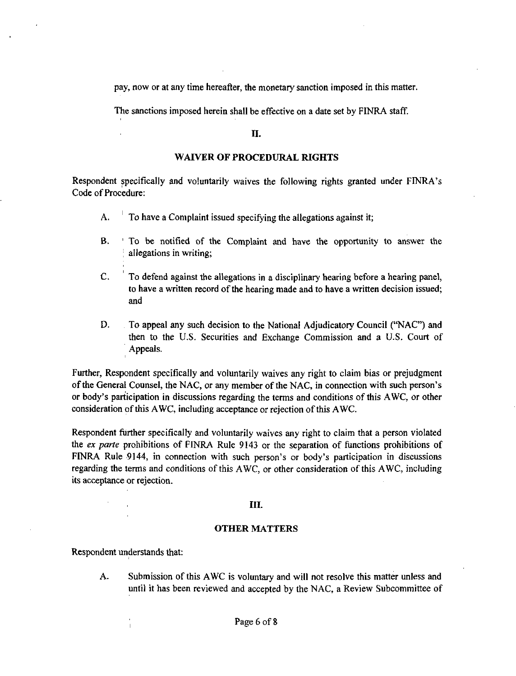pay, now or at any time hereafter, the monetary sanction imposed in this matter.

The sanctions imposed herein shall be effective on <sup>a</sup> date set by FINRA staff.

#### II.

## WAIVER OF PROCEDURAL RIGHTS

Respondent specifically and voluntarily waives the following rights granted under FINRA's Code of Procedure:

- A. To have <sup>a</sup> Complaint issued specifying the allegations against it;
- B. ' To be notified of the Complaint and have the opportunity to answer the allegations in writing;
- C. To defend against the allegations in <sup>a</sup> disciplinary hearing before a hearing panel, to have a written record of the hearing made and to have a written decision issued; and
- D. To appeal any such decision to the National Adjudicatory Council ("NAC") and then to the U.S. Securities and Exchange Commission and <sup>a</sup> U.S. Court of Appeals.

Further, Respondent specifically and voluntarily waives any right to claim bias or prejudgment of the General Counsel, the NAC, or any member of the NAC, in connection with such person's or body's participation in discussions regarding the terms and conditions of this AWC, or other consideration of this AWC, including acceptance or rejection of this AWC.

Respondent further specifically and voluntarily waives any right to claim that <sup>a</sup> person violated the ex parte prohibitions of FINRA Rule 9143 or the separation of functions prohibitions of FINRA Rule 9144, in connection with such person's or body's participation in discussions regarding the terms and conditions of this AWC, or other consideration of this AWC, including its acceptance or rejection.

## III.

## OTHER MATTERS

Respondent understands that:

A. Submission of this AWC is voluntary and will not resolve this matter unless and until it has been reviewed and accepted by the NAC, a Review Subcommittee of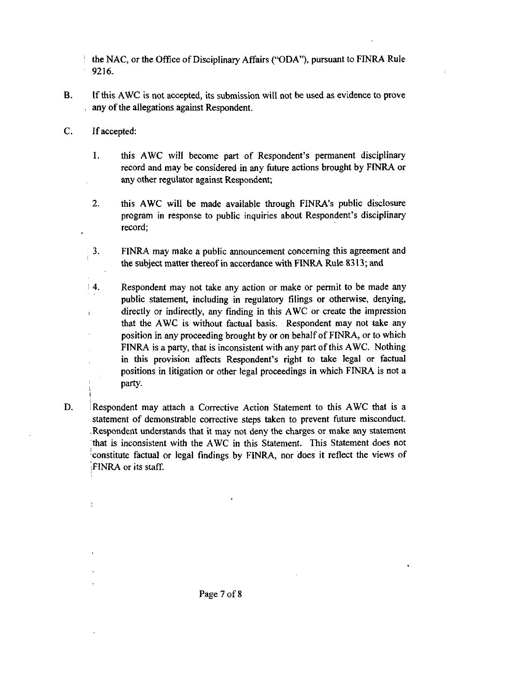the NAC, or the Office of Disciplinary Affairs (''ODA"), pursuant to FINRA Rule 9216.

- B. Ifthis AWC is not accepted, its submission will not be used as evidence to prove , any of the allegations against Respondent.
- C. Ifaccepted:
	- 1. this AWC will become part of Respondent's permanent disciplinary record and may be considered in any future actions brought by FfNRA or any other regulator against Respondent;
	- 2. this AWC will be made available through FINRA's public disclosure program in response to public inquiries about Respondent's disciplinary record;
	- 3. FINRA may make a public announcement concerning this agreement and the subject matter thereof in accordance with FINRA Rule 8313; and
	- 4. Respondent may not take any action or make or permit to be made any public statement, including in regulatory filings or otherwise, denying, directly or indirectly, any finding in this AWC or create the impression  $\mathbf{I}$ that the AWC is without factual basis. Respondent may not take any position in any proceeding brought by or on behalf of FINRA, or to which FINRA is a party, that is inconsistent with any part of this AWC. Nothing in this provision affects Respondent's right to take legal or factual positions in litigation or other legal proceedings in which FINRA is not <sup>a</sup> party.
- D. Respondent may attach <sup>a</sup> Corrective Action Statement to this AWC that is <sup>a</sup> statement of demonstrable corrective steps taken to prevent future misconduct. Respondent understands that it may not deny the charges or make any statement that is inconsistent with the AWC in this Statement. This Statement does not constitute factual or legal findings by FINRA. nor does it reflect the views of FINRA or its staff.

Page 7 of <sup>8</sup>